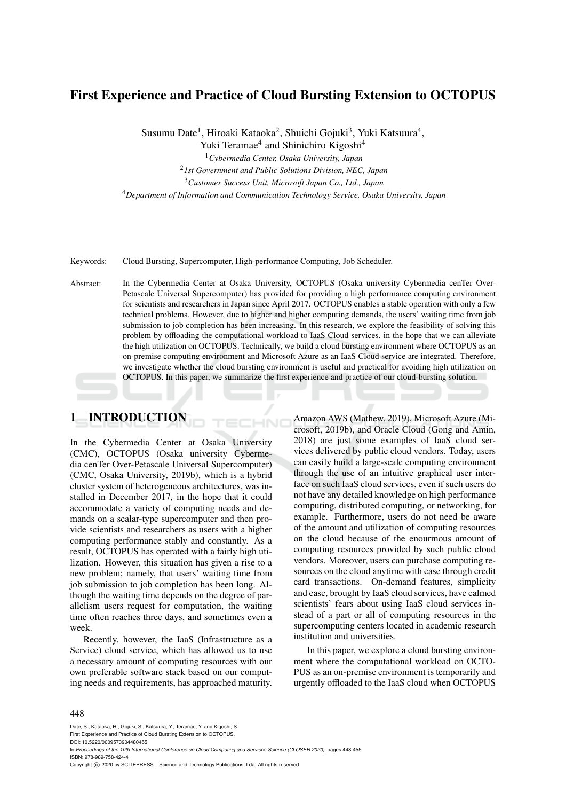# First Experience and Practice of Cloud Bursting Extension to OCTOPUS

Susumu Date<sup>1</sup>, Hiroaki Kataoka<sup>2</sup>, Shuichi Gojuki<sup>3</sup>, Yuki Katsuura<sup>4</sup>, Yuki Teramae<sup>4</sup> and Shinichiro Kigoshi<sup>4</sup>

<sup>1</sup>*Cybermedia Center, Osaka University, Japan*

<sup>2</sup>*1st Government and Public Solutions Division, NEC, Japan* <sup>3</sup>*Customer Success Unit, Microsoft Japan Co., Ltd., Japan*

<sup>4</sup>*Department of Information and Communication Technology Service, Osaka University, Japan*

Keywords: Cloud Bursting, Supercomputer, High-performance Computing, Job Scheduler.

Abstract: In the Cybermedia Center at Osaka University, OCTOPUS (Osaka university Cybermedia cenTer Over-Petascale Universal Supercomputer) has provided for providing a high performance computing environment for scientists and researchers in Japan since April 2017. OCTOPUS enables a stable operation with only a few technical problems. However, due to higher and higher computing demands, the users' waiting time from job submission to job completion has been increasing. In this research, we explore the feasibility of solving this problem by offloading the computational workload to IaaS Cloud services, in the hope that we can alleviate the high utilization on OCTOPUS. Technically, we build a cloud bursting environment where OCTOPUS as an on-premise computing environment and Microsoft Azure as an IaaS Cloud service are integrated. Therefore, we investigate whether the cloud bursting environment is useful and practical for avoiding high utilization on OCTOPUS. In this paper, we summarize the first experience and practice of our cloud-bursting solution.

-INI

# 1 INTRODUCTION

In the Cybermedia Center at Osaka University (CMC), OCTOPUS (Osaka university Cybermedia cenTer Over-Petascale Universal Supercomputer) (CMC, Osaka University, 2019b), which is a hybrid cluster system of heterogeneous architectures, was installed in December 2017, in the hope that it could accommodate a variety of computing needs and demands on a scalar-type supercomputer and then provide scientists and researchers as users with a higher computing performance stably and constantly. As a result, OCTOPUS has operated with a fairly high utilization. However, this situation has given a rise to a new problem; namely, that users' waiting time from job submission to job completion has been long. Although the waiting time depends on the degree of parallelism users request for computation, the waiting time often reaches three days, and sometimes even a week.

Recently, however, the IaaS (Infrastructure as a Service) cloud service, which has allowed us to use a necessary amount of computing resources with our own preferable software stack based on our computing needs and requirements, has approached maturity.

Amazon AWS (Mathew, 2019), Microsoft Azure (Microsoft, 2019b), and Oracle Cloud (Gong and Amin, 2018) are just some examples of IaaS cloud services delivered by public cloud vendors. Today, users can easily build a large-scale computing environment through the use of an intuitive graphical user interface on such IaaS cloud services, even if such users do not have any detailed knowledge on high performance computing, distributed computing, or networking, for example. Furthermore, users do not need be aware of the amount and utilization of computing resources on the cloud because of the enourmous amount of computing resources provided by such public cloud vendors. Moreover, users can purchase computing resources on the cloud anytime with ease through credit card transactions. On-demand features, simplicity and ease, brought by IaaS cloud services, have calmed scientists' fears about using IaaS cloud services instead of a part or all of computing resources in the supercomputing centers located in academic research institution and universities.

In this paper, we explore a cloud bursting environment where the computational workload on OCTO-PUS as an on-premise environment is temporarily and urgently offloaded to the IaaS cloud when OCTOPUS

#### 448

Date, S., Kataoka, H., Gojuki, S., Katsuura, Y., Teramae, Y. and Kigoshi, S.

First Experience and Practice of Cloud Bursting Extension to OCTOPUS.

DOI: 10.5220/0009573904480455

In *Proceedings of the 10th International Conference on Cloud Computing and Services Science (CLOSER 2020)*, pages 448-455 ISBN: 978-989-758-424-4

Copyright © 2020 by SCITEPRESS - Science and Technology Publications, Lda. All rights reserved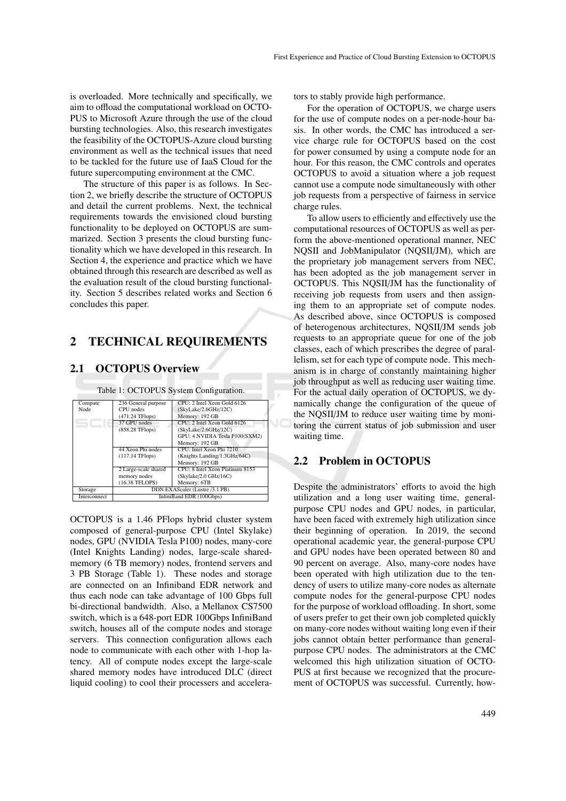is overloaded. More technically and specifically, we aim to offload the computational workload on OCTO-PUS to Microsoft Azure through the use of the cloud bursting technologies. Also, this research investigates the feasibility of the OCTOPUS-Azure cloud bursting environment as well as the technical issues that need to be tackled for the future use of IaaS Cloud for the future supercomputing environment at the CMC.

The structure of this paper is as follows. In Section 2, we briefly describe the structure of OCTOPUS and detail the current problems. Next, the technical requirements towards the envisioned cloud bursting functionality to be deployed on OCTOPUS are summarized. Section 3 presents the cloud bursting functionality which we have developed in this research. In Section 4, the experience and practice which we have obtained through this research are described as well as the evaluation result of the cloud bursting functionality. Section 5 describes related works and Section 6 concludes this paper.

## 2 TECHNICAL REQUIREMENTS

### 2.1 OCTOPUS Overview

| Table 1: OCTOPUS System Configuration. |                                |                                 |
|----------------------------------------|--------------------------------|---------------------------------|
| Compute                                | 236 General purpose            | CPU: 2 Intel Xeon Gold 6126     |
| Node                                   | CPU nodes                      | (SkyLake/2.6GHz/12C)            |
|                                        | (471.24 TFlops)                | Memory: 192 GB                  |
|                                        | 37 GPU nodes                   | CPU: 2 Intel Xeon Gold 6126     |
|                                        | (858.28 TFlops)                | (Sky Lake/2.6GHz/12C)           |
|                                        |                                | GPU: 4 NVIDIA Tesla P100(SXM2)  |
|                                        |                                | Memory: 192 GB                  |
|                                        | 44 Xeon Phi nodes              | CPU: Intel Xeon Phi 7210        |
|                                        | $(117.14$ TFlops)              | (Knights Landing/1.3GHz/64C)    |
|                                        |                                | Memory: 192 GB                  |
|                                        | 2 Large-scale shared           | CPU: 8 Intel Xeon Platinum 8153 |
|                                        | memory nodes                   | (Skylake/2.0 GHz/16C)           |
|                                        | (16.38 TFLOPS)                 | Memory: 6TB                     |
| Storage                                | DDN EXAScaler (Lustre /3.1 PB) |                                 |
| Interconnect                           | InfiniBand EDR (100Gbps)       |                                 |

OCTOPUS is a 1.46 PFlops hybrid cluster system composed of general-purpose CPU (Intel Skylake) nodes, GPU (NVIDIA Tesla P100) nodes, many-core (Intel Knights Landing) nodes, large-scale sharedmemory (6 TB memory) nodes, frontend servers and 3 PB Storage (Table 1). These nodes and storage are connected on an Infiniband EDR network and thus each node can take advantage of 100 Gbps full bi-directional bandwidth. Also, a Mellanox CS7500 switch, which is a 648-port EDR 100Gbps InfiniBand switch, houses all of the compute nodes and storage servers. This connection configuration allows each node to communicate with each other with 1-hop latency. All of compute nodes except the large-scale shared memory nodes have introduced DLC (direct liquid cooling) to cool their processers and accelerators to stably provide high performance.

For the operation of OCTOPUS, we charge users for the use of compute nodes on a per-node-hour basis. In other words, the CMC has introduced a service charge rule for OCTOPUS based on the cost for power consumed by using a compute node for an hour. For this reason, the CMC controls and operates OCTOPUS to avoid a situation where a job request cannot use a compute node simultaneously with other job requests from a perspective of fairness in service charge rules.

To allow users to efficiently and effectively use the computational resources of OCTOPUS as well as perform the above-mentioned operational manner, NEC NQSII and JobManipulator (NQSII/JM), which are the proprietary job management servers from NEC, has been adopted as the job management server in OCTOPUS. This NQSII/JM has the functionality of receiving job requests from users and then assigning them to an appropriate set of compute nodes. As described above, since OCTOPUS is composed of heterogenous architectures, NQSII/JM sends job requests to an appropriate queue for one of the job classes, each of which prescribes the degree of parallelism, set for each type of compute node. This mechanism is in charge of constantly maintaining higher job throughput as well as reducing user waiting time. For the actual daily operation of OCTOPUS, we dynamically change the configuration of the queue of the NQSII/JM to reduce user waiting time by monitoring the current status of job submission and user waiting time.

### 2.2 Problem in OCTOPUS

Despite the administrators' efforts to avoid the high utilization and a long user waiting time, generalpurpose CPU nodes and GPU nodes, in particular, have been faced with extremely high utilization since their beginning of operation. In 2019, the second operational academic year, the general-purpose CPU and GPU nodes have been operated between 80 and 90 percent on average. Also, many-core nodes have been operated with high utilization due to the tendency of users to utilize many-core nodes as alternate compute nodes for the general-purpose CPU nodes for the purpose of workload offloading. In short, some of users prefer to get their own job completed quickly on many-core nodes without waiting long even if their jobs cannot obtain better performance than generalpurpose CPU nodes. The administrators at the CMC welcomed this high utilization situation of OCTO-PUS at first because we recognized that the procurement of OCTOPUS was successful. Currently, how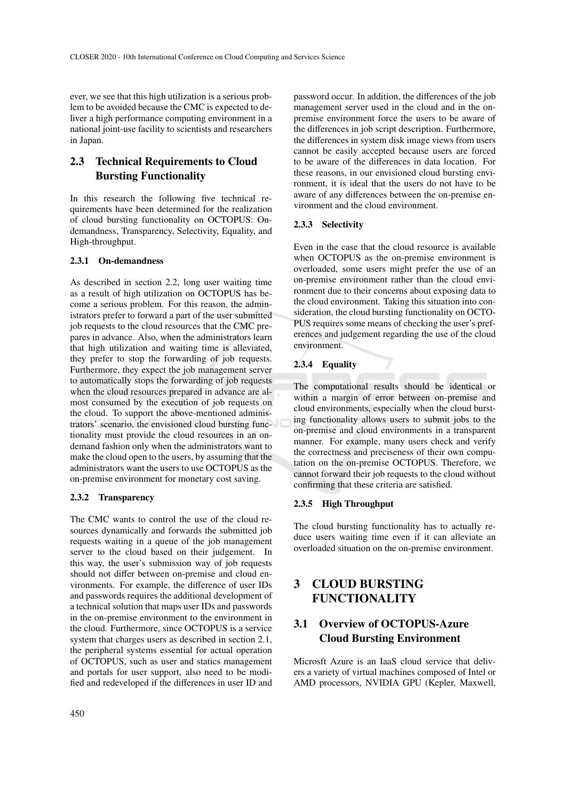ever, we see that this high utilization is a serious problem to be avoided because the CMC is expected to deliver a high performance computing environment in a national joint-use facility to scientists and researchers in Japan.

# 2.3 Technical Requirements to Cloud Bursting Functionality

In this research the following five technical requirements have been determined for the realization of cloud bursting functionality on OCTOPUS: Ondemandness, Transparency, Selectivity, Equality, and High-throughput.

#### 2.3.1 On-demandness

As described in section 2.2, long user waiting time as a result of high utilization on OCTOPUS has become a serious problem. For this reason, the administrators prefer to forward a part of the user submitted job requests to the cloud resources that the CMC prepares in advance. Also, when the administrators learn that high utilization and waiting time is alleviated, they prefer to stop the forwarding of job requests. Furthermore, they expect the job management server to automatically stops the forwarding of job requests when the cloud resources prepared in advance are almost consumed by the execution of job requests on the cloud. To support the above-mentioned administrators' scenario, the envisioned cloud bursting functionality must provide the cloud resources in an ondemand fashion only when the administrators want to make the cloud open to the users, by assuming that the administrators want the users to use OCTOPUS as the on-premise environment for monetary cost saving.

### 2.3.2 Transparency

The CMC wants to control the use of the cloud resources dynamically and forwards the submitted job requests waiting in a queue of the job management server to the cloud based on their judgement. In this way, the user's submission way of job requests should not differ between on-premise and cloud environments. For example, the difference of user IDs and passwords requires the additional development of a technical solution that maps user IDs and passwords in the on-premise environment to the environment in the cloud. Furthermore, since OCTOPUS is a service system that charges users as described in section 2.1, the peripheral systems essential for actual operation of OCTOPUS, such as user and statics management and portals for user support, also need to be modified and redeveloped if the differences in user ID and

password occur. In addition, the differences of the job management server used in the cloud and in the onpremise environment force the users to be aware of the differences in job script description. Furthermore, the differences in system disk image views from users cannot be easily accepted because users are forced to be aware of the differences in data location. For these reasons, in our envisioned cloud bursting environment, it is ideal that the users do not have to be aware of any differences between the on-premise environment and the cloud environment.

### 2.3.3 Selectivity

Even in the case that the cloud resource is available when OCTOPUS as the on-premise environment is overloaded, some users might prefer the use of an on-premise environment rather than the cloud environment due to their concerns about exposing data to the cloud environment. Taking this situation into consideration, the cloud bursting functionality on OCTO-PUS requires some means of checking the user's preferences and judgement regarding the use of the cloud environment.

#### 2.3.4 Equality

The computational results should be identical or within a margin of error between on-premise and cloud environments, especially when the cloud bursting functionality allows users to submit jobs to the on-premise and cloud environments in a transparent manner. For example, many users check and verify the correctness and preciseness of their own computation on the on-premise OCTOPUS. Therefore, we cannot forward their job requests to the cloud without confirming that these criteria are satisfied.

#### 2.3.5 High Throughput

The cloud bursting functionality has to actually reduce users waiting time even if it can alleviate an overloaded situation on the on-premise environment.

## 3 CLOUD BURSTING FUNCTIONALITY

# 3.1 Overview of OCTOPUS-Azure Cloud Bursting Environment

Microsft Azure is an IaaS cloud service that delivers a variety of virtual machines composed of Intel or AMD processors, NVIDIA GPU (Kepler, Maxwell,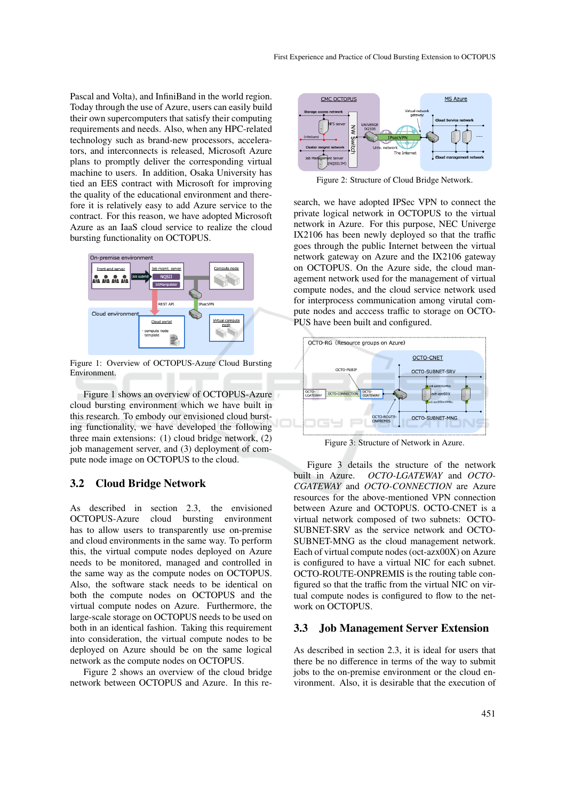Pascal and Volta), and InfiniBand in the world region. Today through the use of Azure, users can easily build their own supercomputers that satisfy their computing requirements and needs. Also, when any HPC-related technology such as brand-new processors, accelerators, and interconnects is released, Microsoft Azure plans to promptly deliver the corresponding virtual machine to users. In addition, Osaka University has tied an EES contract with Microsoft for improving the quality of the educational environment and therefore it is relatively easy to add Azure service to the contract. For this reason, we have adopted Microsoft Azure as an IaaS cloud service to realize the cloud bursting functionality on OCTOPUS.



Figure 1: Overview of OCTOPUS-Azure Cloud Bursting Environment.

Figure 1 shows an overview of OCTOPUS-Azure cloud bursting environment which we have built in this research. To embody our envisioned cloud bursting functionality, we have developed the following three main extensions: (1) cloud bridge network, (2) job management server, and (3) deployment of compute node image on OCTOPUS to the cloud.

## 3.2 Cloud Bridge Network

As described in section 2.3, the envisioned OCTOPUS-Azure cloud bursting environment has to allow users to transparently use on-premise and cloud environments in the same way. To perform this, the virtual compute nodes deployed on Azure needs to be monitored, managed and controlled in the same way as the compute nodes on OCTOPUS. Also, the software stack needs to be identical on both the compute nodes on OCTOPUS and the virtual compute nodes on Azure. Furthermore, the large-scale storage on OCTOPUS needs to be used on both in an identical fashion. Taking this requirement into consideration, the virtual compute nodes to be deployed on Azure should be on the same logical network as the compute nodes on OCTOPUS.

Figure 2 shows an overview of the cloud bridge network between OCTOPUS and Azure. In this re-



Figure 2: Structure of Cloud Bridge Network.

search, we have adopted IPSec VPN to connect the private logical network in OCTOPUS to the virtual network in Azure. For this purpose, NEC Univerge IX2106 has been newly deployed so that the traffic goes through the public Internet between the virtual network gateway on Azure and the IX2106 gateway on OCTOPUS. On the Azure side, the cloud management network used for the management of virtual compute nodes, and the cloud service network used for interprocess communication among virutal compute nodes and acccess traffic to storage on OCTO-PUS have been built and configured.



Figure 3: Structure of Network in Azure.

Figure 3 details the structure of the network built in Azure. *OCTO-LGATEWAY* and *OCTO-CGATEWAY* and *OCTO-CONNECTION* are Azure resources for the above-mentioned VPN connection between Azure and OCTOPUS. OCTO-CNET is a virtual network composed of two subnets: OCTO-SUBNET-SRV as the service network and OCTO-SUBNET-MNG as the cloud management network. Each of virtual compute nodes (oct-azx00X) on Azure is configured to have a virtual NIC for each subnet. OCTO-ROUTE-ONPREMIS is the routing table configured so that the traffic from the virtual NIC on virtual compute nodes is configured to flow to the network on OCTOPUS.

### 3.3 Job Management Server Extension

As described in section 2.3, it is ideal for users that there be no difference in terms of the way to submit jobs to the on-premise environment or the cloud environment. Also, it is desirable that the execution of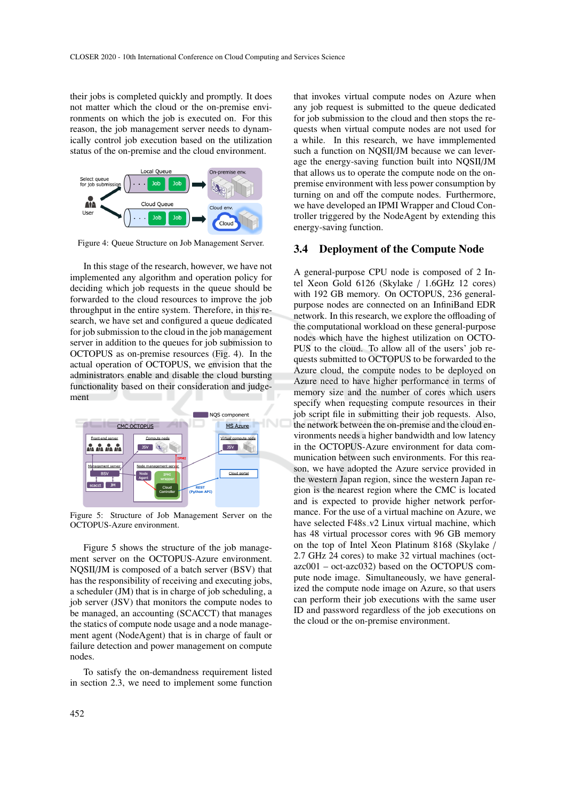their jobs is completed quickly and promptly. It does not matter which the cloud or the on-premise environments on which the job is executed on. For this reason, the job management server needs to dynamically control job execution based on the utilization status of the on-premise and the cloud environment.



Figure 4: Queue Structure on Job Management Server.

In this stage of the research, however, we have not implemented any algorithm and operation policy for deciding which job requests in the queue should be forwarded to the cloud resources to improve the job throughput in the entire system. Therefore, in this research, we have set and configured a queue dedicated for job submission to the cloud in the job management server in addition to the queues for job submission to OCTOPUS as on-premise resources (Fig. 4). In the actual operation of OCTOPUS, we envision that the administrators enable and disable the cloud bursting functionality based on their consideration and judgement



Figure 5: Structure of Job Management Server on the OCTOPUS-Azure environment.

Figure 5 shows the structure of the job management server on the OCTOPUS-Azure environment. NQSII/JM is composed of a batch server (BSV) that has the responsibility of receiving and executing jobs, a scheduler (JM) that is in charge of job scheduling, a job server (JSV) that monitors the compute nodes to be managed, an accounting (SCACCT) that manages the statics of compute node usage and a node management agent (NodeAgent) that is in charge of fault or failure detection and power management on compute nodes.

To satisfy the on-demandness requirement listed in section 2.3, we need to implement some function

that invokes virtual compute nodes on Azure when any job request is submitted to the queue dedicated for job submission to the cloud and then stops the requests when virtual compute nodes are not used for a while. In this research, we have immplemented such a function on NQSII/JM because we can leverage the energy-saving function built into NQSII/JM that allows us to operate the compute node on the onpremise environment with less power consumption by turning on and off the compute nodes. Furthermore, we have developed an IPMI Wrapper and Cloud Controller triggered by the NodeAgent by extending this energy-saving function.

### 3.4 Deployment of the Compute Node

A general-purpose CPU node is composed of 2 Intel Xeon Gold 6126 (Skylake / 1.6GHz 12 cores) with 192 GB memory. On OCTOPUS, 236 generalpurpose nodes are connected on an InfiniBand EDR network. In this research, we explore the offloading of the computational workload on these general-purpose nodes which have the highest utilization on OCTO-PUS to the cloud. To allow all of the users' job requests submitted to OCTOPUS to be forwarded to the Azure cloud, the compute nodes to be deployed on Azure need to have higher performance in terms of memory size and the number of cores which users specify when requesting compute resources in their job script file in submitting their job requests. Also, the network between the on-premise and the cloud environments needs a higher bandwidth and low latency in the OCTOPUS-Azure environment for data communication between such environments. For this reason, we have adopted the Azure service provided in the western Japan region, since the western Japan region is the nearest region where the CMC is located and is expected to provide higher network performance. For the use of a virtual machine on Azure, we have selected F48s\_v2 Linux virtual machine, which has 48 virtual processor cores with 96 GB memory on the top of Intel Xeon Platinum 8168 (Skylake / 2.7 GHz 24 cores) to make 32 virtual machines (octazc001 – oct-azc032) based on the OCTOPUS compute node image. Simultaneously, we have generalized the compute node image on Azure, so that users can perform their job executions with the same user ID and password regardless of the job executions on the cloud or the on-premise environment.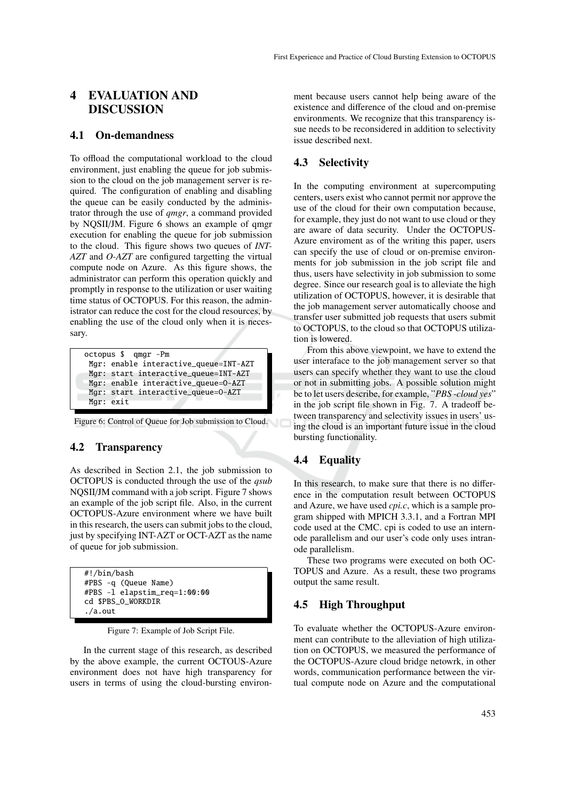# 4 EVALUATION AND DISCUSSION

### 4.1 On-demandness

To offload the computational workload to the cloud environment, just enabling the queue for job submission to the cloud on the job management server is required. The configuration of enabling and disabling the queue can be easily conducted by the administrator through the use of *qmgr*, a command provided by NQSII/JM. Figure 6 shows an example of qmgr execution for enabling the queue for job submission to the cloud. This figure shows two queues of *INT-AZT* and *O-AZT* are configured targetting the virtual compute node on Azure. As this figure shows, the administrator can perform this operation quickly and promptly in response to the utilization or user waiting time status of OCTOPUS. For this reason, the administrator can reduce the cost for the cloud resources, by enabling the use of the cloud only when it is necessary.

```
octopus $ qmgr -Pm
Mgr: enable interactive_queue=INT-AZT
Mgr: start interactive_queue=INT-AZT
Mgr: enable interactive_queue=O-AZT
Mgr: start interactive_queue=O-AZT
Mgr: exit
```
Figure 6: Control of Queue for Job submission to Cloud.

## 4.2 Transparency

As described in Section 2.1, the job submission to OCTOPUS is conducted through the use of the *qsub* NQSII/JM command with a job script. Figure 7 shows an example of the job script file. Also, in the current OCTOPUS-Azure environment where we have built in this research, the users can submit jobs to the cloud, just by specifying INT-AZT or OCT-AZT as the name of queue for job submission.

#!/bin/bash #PBS -q (Queue Name) #PBS -l elapstim\_req=1:00:00 cd \$PBS\_O\_WORKDIR ./a.out

Figure 7: Example of Job Script File.

In the current stage of this research, as described by the above example, the current OCTOUS-Azure environment does not have high transparency for users in terms of using the cloud-bursting environment because users cannot help being aware of the existence and difference of the cloud and on-premise environments. We recognize that this transparency issue needs to be reconsidered in addition to selectivity issue described next.

## 4.3 Selectivity

In the computing environment at supercomputing centers, users exist who cannot permit nor approve the use of the cloud for their own computation because, for example, they just do not want to use cloud or they are aware of data security. Under the OCTOPUS-Azure enviroment as of the writing this paper, users can specify the use of cloud or on-premise environments for job submission in the job script file and thus, users have selectivity in job submission to some degree. Since our research goal is to alleviate the high utilization of OCTOPUS, however, it is desirable that the job management server automatically choose and transfer user submitted job requests that users submit to OCTOPUS, to the cloud so that OCTOPUS utilization is lowered.

From this above viewpoint, we have to extend the user interaface to the job management server so that users can specify whether they want to use the cloud or not in submitting jobs. A possible solution might be to let users describe, for example, "*PBS -cloud yes*" in the job script file shown in Fig. 7. A tradeoff between transparency and selectivity issues in users' using the cloud is an important future issue in the cloud bursting functionality.

# 4.4 Equality

In this research, to make sure that there is no difference in the computation result between OCTOPUS and Azure, we have used *cpi.c*, which is a sample program shipped with MPICH 3.3.1, and a Fortran MPI code used at the CMC. cpi is coded to use an internode parallelism and our user's code only uses intranode parallelism.

These two programs were executed on both OC-TOPUS and Azure. As a result, these two programs output the same result.

## 4.5 High Throughput

To evaluate whether the OCTOPUS-Azure environment can contribute to the alleviation of high utilization on OCTOPUS, we measured the performance of the OCTOPUS-Azure cloud bridge netowrk, in other words, communication performance between the virtual compute node on Azure and the computational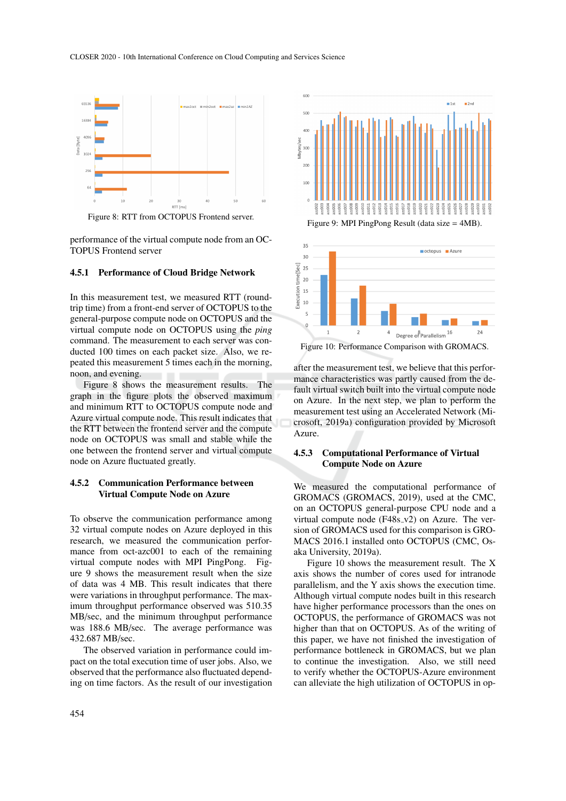

Figure 8: RTT from OCTOPUS Frontend server.

performance of the virtual compute node from an OC-TOPUS Frontend server

#### 4.5.1 Performance of Cloud Bridge Network

In this measurement test, we measured RTT (roundtrip time) from a front-end server of OCTOPUS to the general-purpose compute node on OCTOPUS and the virtual compute node on OCTOPUS using the *ping* command. The measurement to each server was conducted 100 times on each packet size. Also, we repeated this measurement 5 times each in the morning, noon, and evening.

Figure 8 shows the measurement results. The graph in the figure plots the observed maximum and minimum RTT to OCTOPUS compute node and Azure virtual compute node. This result indicates that the RTT between the frontend server and the compute node on OCTOPUS was small and stable while the one between the frontend server and virtual compute node on Azure fluctuated greatly.

### 4.5.2 Communication Performance between Virtual Compute Node on Azure

To observe the communication performance among 32 virtual compute nodes on Azure deployed in this research, we measured the communication performance from oct-azc001 to each of the remaining virtual compute nodes with MPI PingPong. Figure 9 shows the measurement result when the size of data was 4 MB. This result indicates that there were variations in throughput performance. The maximum throughput performance observed was 510.35 MB/sec, and the minimum throughput performance was 188.6 MB/sec. The average performance was 432.687 MB/sec.

The observed variation in performance could impact on the total execution time of user jobs. Also, we observed that the performance also fluctuated depending on time factors. As the result of our investigation





Figure 10: Performance Comparison with GROMACS.

after the measurement test, we believe that this performance characteristics was partly caused from the default virtual switch built into the virtual compute node on Azure. In the next step, we plan to perform the measurement test using an Accelerated Network (Microsoft, 2019a) configuration provided by Microsoft Azure.

### 4.5.3 Computational Performance of Virtual Compute Node on Azure

We measured the computational performance of GROMACS (GROMACS, 2019), used at the CMC, on an OCTOPUS general-purpose CPU node and a virtual compute node  $(F48s_v2)$  on Azure. The version of GROMACS used for this comparison is GRO-MACS 2016.1 installed onto OCTOPUS (CMC, Osaka University, 2019a).

Figure 10 shows the measurement result. The X axis shows the number of cores used for intranode parallelism, and the Y axis shows the execution time. Although virtual compute nodes built in this research have higher performance processors than the ones on OCTOPUS, the performance of GROMACS was not higher than that on OCTOPUS. As of the writing of this paper, we have not finished the investigation of performance bottleneck in GROMACS, but we plan to continue the investigation. Also, we still need to verify whether the OCTOPUS-Azure environment can alleviate the high utilization of OCTOPUS in op